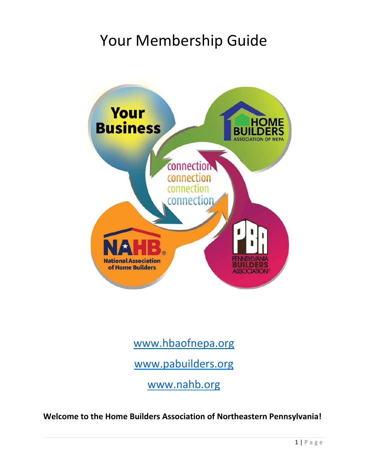# Your Membership Guide



## [www.hbaofnepa.org](http://www.hbaofnepa.org/)

[www.pabuilders.org](http://www.pabuilders.org/)

[www.nahb.org](http://www.nahb.org/)

**Welcome to the Home Builders Association of Northeastern Pennsylvania!**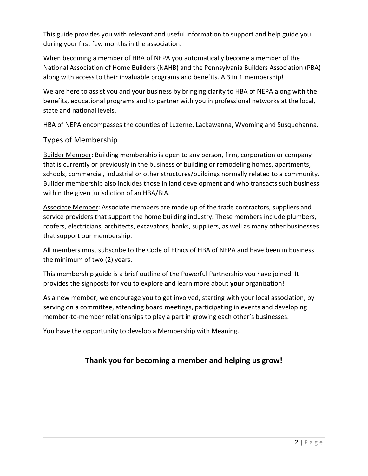This guide provides you with relevant and useful information to support and help guide you during your first few months in the association.

When becoming a member of HBA of NEPA you automatically become a member of the National Association of Home Builders (NAHB) and the Pennsylvania Builders Association (PBA) along with access to their invaluable programs and benefits. A 3 in 1 membership!

We are here to assist you and your business by bringing clarity to HBA of NEPA along with the benefits, educational programs and to partner with you in professional networks at the local, state and national levels.

HBA of NEPA encompasses the counties of Luzerne, Lackawanna, Wyoming and Susquehanna.

## Types of Membership

Builder Member: Building membership is open to any person, firm, corporation or company that is currently or previously in the business of building or remodeling homes, apartments, schools, commercial, industrial or other structures/buildings normally related to a community. Builder membership also includes those in land development and who transacts such business within the given jurisdiction of an HBA/BIA.

Associate Member: Associate members are made up of the trade contractors, suppliers and service providers that support the home building industry. These members include plumbers, roofers, electricians, architects, excavators, banks, suppliers, as well as many other businesses that support our membership.

All members must subscribe to the Code of Ethics of HBA of NEPA and have been in business the minimum of two (2) years.

This membership guide is a brief outline of the Powerful Partnership you have joined. It provides the signposts for you to explore and learn more about **your** organization!

As a new member, we encourage you to get involved, starting with your local association, by serving on a committee, attending board meetings, participating in events and developing member-to-member relationships to play a part in growing each other's businesses.

You have the opportunity to develop a Membership with Meaning.

## **Thank you for becoming a member and helping us grow!**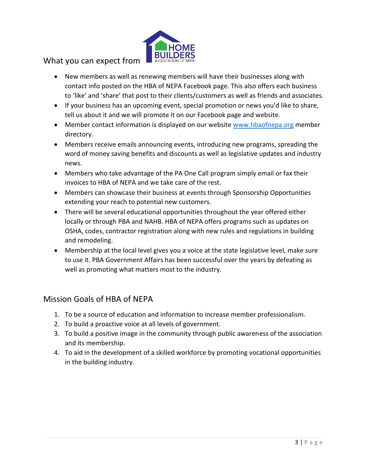

## What you can expect from

- New members as well as renewing members will have their businesses along with contact info posted on the HBA of NEPA Facebook page. This also offers each business to 'like' and 'share' that post to their clients/customers as well as friends and associates.
- If your business has an upcoming event, special promotion or news you'd like to share, tell us about it and we will promote it on our Facebook page and website.
- Member contact information is displayed on our website [www.hbaofnepa.org](http://www.hbaofnepa.org/) member directory.
- Members receive emails announcing events, introducing new programs, spreading the word of money saving benefits and discounts as well as legislative updates and industry news.
- Members who take advantage of the PA One Call program simply email or fax their invoices to HBA of NEPA and we take care of the rest.
- Members can showcase their business at events through Sponsorship Opportunities extending your reach to potential new customers.
- There will be several educational opportunities throughout the year offered either locally or through PBA and NAHB. HBA of NEPA offers programs such as updates on OSHA, codes, contractor registration along with new rules and regulations in building and remodeling.
- Membership at the local level gives you a voice at the state legislative level, make sure to use it. PBA Government Affairs has been successful over the years by defeating as well as promoting what matters most to the industry.

## Mission Goals of HBA of NEPA

- 1. To be a source of education and information to increase member professionalism.
- 2. To build a proactive voice at all levels of government.
- 3. To build a positive image in the community through public awareness of the association and its membership.
- 4. To aid in the development of a skilled workforce by promoting vocational opportunities in the building industry.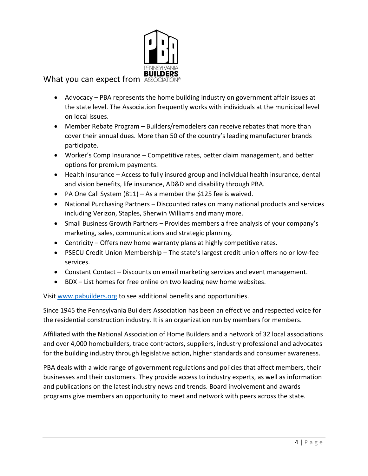

## What you can expect from As

- Advocacy PBA represents the home building industry on government affair issues at the state level. The Association frequently works with individuals at the municipal level on local issues.
- Member Rebate Program Builders/remodelers can receive rebates that more than cover their annual dues. More than 50 of the country's leading manufacturer brands participate.
- Worker's Comp Insurance Competitive rates, better claim management, and better options for premium payments.
- Health Insurance Access to fully insured group and individual health insurance, dental and vision benefits, life insurance, AD&D and disability through PBA.
- PA One Call System (811) As a member the \$125 fee is waived.
- National Purchasing Partners Discounted rates on many national products and services including Verizon, Staples, Sherwin Williams and many more.
- Small Business Growth Partners Provides members a free analysis of your company's marketing, sales, communications and strategic planning.
- Centricity Offers new home warranty plans at highly competitive rates.
- PSECU Credit Union Membership The state's largest credit union offers no or low-fee services.
- Constant Contact Discounts on email marketing services and event management.
- BDX List homes for free online on two leading new home websites.

Visi[t www.pabuilders.org](http://www.pabuilders.org/) to see additional benefits and opportunities.

Since 1945 the Pennsylvania Builders Association has been an effective and respected voice for the residential construction industry. It is an organization run by members for members.

Affiliated with the National Association of Home Builders and a network of 32 local associations and over 4,000 homebuilders, trade contractors, suppliers, industry professional and advocates for the building industry through legislative action, higher standards and consumer awareness.

PBA deals with a wide range of government regulations and policies that affect members, their businesses and their customers. They provide access to industry experts, as well as information and publications on the latest industry news and trends. Board involvement and awards programs give members an opportunity to meet and network with peers across the state.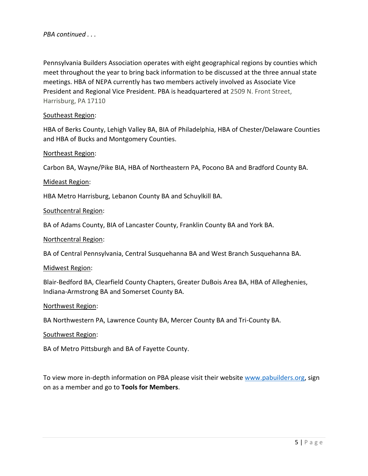*PBA continued . . .*

Pennsylvania Builders Association operates with eight geographical regions by counties which meet throughout the year to bring back information to be discussed at the three annual state meetings. HBA of NEPA currently has two members actively involved as Associate Vice President and Regional Vice President. PBA is headquartered at 2509 N. Front Street, Harrisburg, PA 17110

#### Southeast Region:

HBA of Berks County, Lehigh Valley BA, BIA of Philadelphia, HBA of Chester/Delaware Counties and HBA of Bucks and Montgomery Counties.

#### Northeast Region:

Carbon BA, Wayne/Pike BIA, HBA of Northeastern PA, Pocono BA and Bradford County BA.

#### Mideast Region:

HBA Metro Harrisburg, Lebanon County BA and Schuylkill BA.

#### Southcentral Region:

BA of Adams County, BIA of Lancaster County, Franklin County BA and York BA.

#### Northcentral Region:

BA of Central Pennsylvania, Central Susquehanna BA and West Branch Susquehanna BA.

#### Midwest Region:

Blair-Bedford BA, Clearfield County Chapters, Greater DuBois Area BA, HBA of Alleghenies, Indiana-Armstrong BA and Somerset County BA.

#### Northwest Region:

BA Northwestern PA, Lawrence County BA, Mercer County BA and Tri-County BA.

#### Southwest Region:

BA of Metro Pittsburgh and BA of Fayette County.

To view more in-depth information on PBA please visit their website [www.pabuilders.org,](http://www.pabuilders.org/) sign on as a member and go to **Tools for Members**.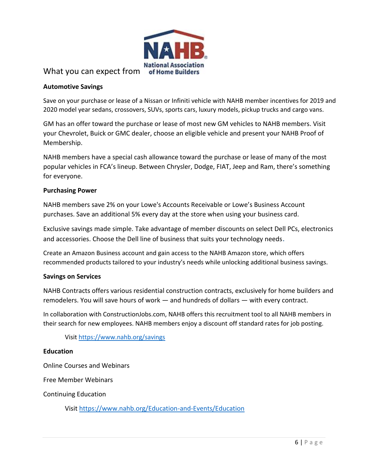

## What you can expect from of Home Builders

#### **Automotive Savings**

Save on your purchase or lease of a Nissan or Infiniti vehicle with NAHB member incentives for 2019 and 2020 model year sedans, crossovers, SUVs, sports cars, luxury models, pickup trucks and cargo vans.

GM has an offer toward the purchase or lease of most new GM vehicles to NAHB members. Visit your Chevrolet, Buick or GMC dealer, choose an eligible vehicle and present your NAHB Proof of Membership.

NAHB members have a special cash allowance toward the purchase or lease of many of the most popular vehicles in FCA's lineup. Between Chrysler, Dodge, FIAT, Jeep and Ram, there's something for everyone.

#### **Purchasing Power**

NAHB members save 2% on your Lowe's Accounts Receivable or Lowe's Business Account purchases. Save an additional 5% every day at the store when using your business card.

Exclusive savings made simple. Take advantage of member discounts on select Dell PCs, electronics and accessories. Choose the Dell line of business that suits your technology needs.

Create an Amazon Business account and gain access to the NAHB Amazon store, which offers recommended products tailored to your industry's needs while unlocking additional business savings.

#### **Savings on Services**

NAHB Contracts offers various residential construction contracts, exclusively for home builders and remodelers. You will save hours of work — and hundreds of dollars — with every contract.

In collaboration with ConstructionJobs.com, NAHB offers this recruitment tool to all NAHB members in their search for new employees. NAHB members enjoy a discount off standard rates for job posting.

Visi[t https://www.nahb.org/savings](https://www.nahb.org/savings)

#### **Education**

Online Courses and Webinars

Free Member Webinars

Continuing Education

Visi[t https://www.nahb.org/Education-and-Events/Education](https://www.nahb.org/Education-and-Events/Education)